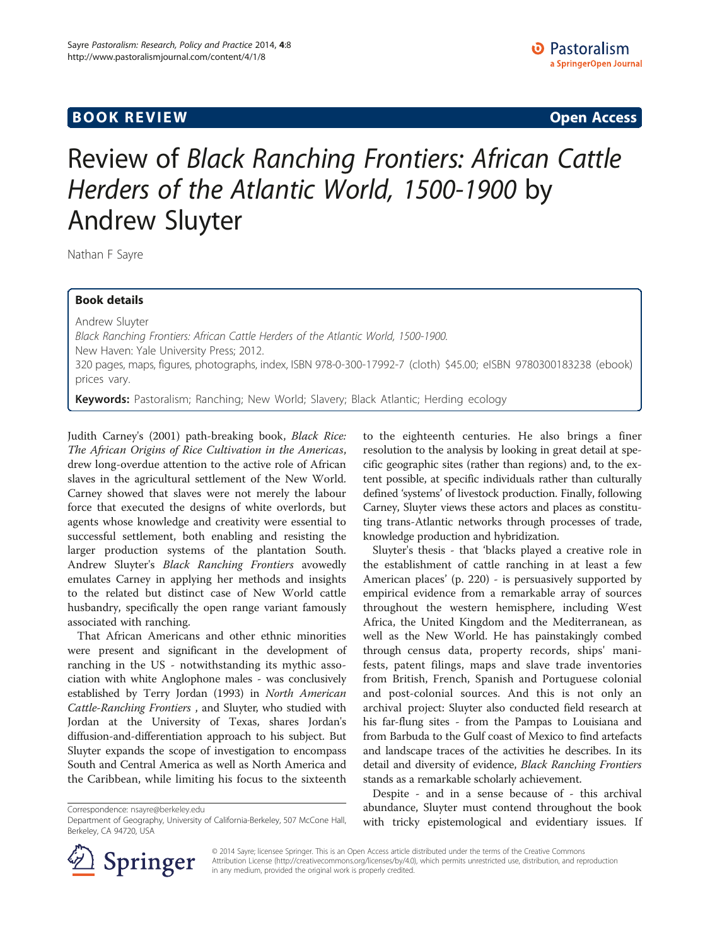## **BOOK REVIEW CONTROL** BOOK REVIEW

# Review of Black Ranching Frontiers: African Cattle Herders of the Atlantic World, 1500-1900 by Andrew Sluyter

Nathan F Sayre

### Book details

Andrew Sluyter Black Ranching Frontiers: African Cattle Herders of the Atlantic World, 1500-1900. New Haven: Yale University Press; 2012. 320 pages, maps, figures, photographs, index, ISBN 978-0-300-17992-7 (cloth) \$45.00; eISBN 9780300183238 (ebook) prices vary.

**Keywords:** Pastoralism; Ranching; New World; Slavery; Black Atlantic; Herding ecology

Judith Carney's [\(2001\)](#page-2-0) path-breaking book, Black Rice: The African Origins of Rice Cultivation in the Americas, drew long-overdue attention to the active role of African slaves in the agricultural settlement of the New World. Carney showed that slaves were not merely the labour force that executed the designs of white overlords, but agents whose knowledge and creativity were essential to successful settlement, both enabling and resisting the larger production systems of the plantation South. Andrew Sluyter's Black Ranching Frontiers avowedly emulates Carney in applying her methods and insights to the related but distinct case of New World cattle husbandry, specifically the open range variant famously associated with ranching.

That African Americans and other ethnic minorities were present and significant in the development of ranching in the US - notwithstanding its mythic association with white Anglophone males - was conclusively established by Terry Jordan [\(1993\)](#page-2-0) in North American Cattle-Ranching Frontiers , and Sluyter, who studied with Jordan at the University of Texas, shares Jordan's diffusion-and-differentiation approach to his subject. But Sluyter expands the scope of investigation to encompass South and Central America as well as North America and the Caribbean, while limiting his focus to the sixteenth

Correspondence: [nsayre@berkeley.edu](mailto:nsayre@berkeley.edu)

to the eighteenth centuries. He also brings a finer resolution to the analysis by looking in great detail at specific geographic sites (rather than regions) and, to the extent possible, at specific individuals rather than culturally defined 'systems' of livestock production. Finally, following Carney, Sluyter views these actors and places as constituting trans-Atlantic networks through processes of trade, knowledge production and hybridization.

Sluyter's thesis - that 'blacks played a creative role in the establishment of cattle ranching in at least a few American places' (p. 220) - is persuasively supported by empirical evidence from a remarkable array of sources throughout the western hemisphere, including West Africa, the United Kingdom and the Mediterranean, as well as the New World. He has painstakingly combed through census data, property records, ships' manifests, patent filings, maps and slave trade inventories from British, French, Spanish and Portuguese colonial and post-colonial sources. And this is not only an archival project: Sluyter also conducted field research at his far-flung sites - from the Pampas to Louisiana and from Barbuda to the Gulf coast of Mexico to find artefacts and landscape traces of the activities he describes. In its detail and diversity of evidence, Black Ranching Frontiers stands as a remarkable scholarly achievement.

Despite - and in a sense because of - this archival abundance, Sluyter must contend throughout the book with tricky epistemological and evidentiary issues. If



© 2014 Sayre; licensee Springer. This is an Open Access article distributed under the terms of the Creative Commons Attribution License [\(http://creativecommons.org/licenses/by/4.0\)](http://creativecommons.org/licenses/by/4.0), which permits unrestricted use, distribution, and reproduction in any medium, provided the original work is properly credited.

Department of Geography, University of California-Berkeley, 507 McCone Hall, Berkeley, CA 94720, USA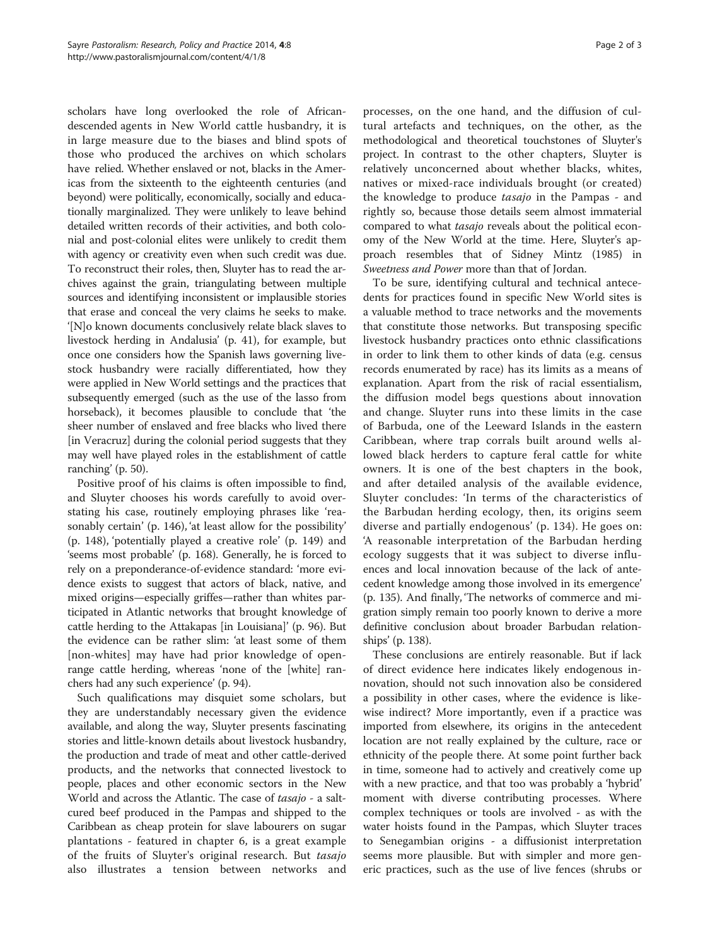scholars have long overlooked the role of Africandescended agents in New World cattle husbandry, it is in large measure due to the biases and blind spots of those who produced the archives on which scholars have relied. Whether enslaved or not, blacks in the Americas from the sixteenth to the eighteenth centuries (and beyond) were politically, economically, socially and educationally marginalized. They were unlikely to leave behind detailed written records of their activities, and both colonial and post-colonial elites were unlikely to credit them with agency or creativity even when such credit was due. To reconstruct their roles, then, Sluyter has to read the archives against the grain, triangulating between multiple sources and identifying inconsistent or implausible stories that erase and conceal the very claims he seeks to make. '[N]o known documents conclusively relate black slaves to livestock herding in Andalusia' (p. 41), for example, but once one considers how the Spanish laws governing livestock husbandry were racially differentiated, how they were applied in New World settings and the practices that subsequently emerged (such as the use of the lasso from horseback), it becomes plausible to conclude that 'the sheer number of enslaved and free blacks who lived there [in Veracruz] during the colonial period suggests that they may well have played roles in the establishment of cattle ranching' (p. 50).

Positive proof of his claims is often impossible to find, and Sluyter chooses his words carefully to avoid overstating his case, routinely employing phrases like 'reasonably certain' (p. 146), 'at least allow for the possibility' (p. 148), 'potentially played a creative role' (p. 149) and 'seems most probable' (p. 168). Generally, he is forced to rely on a preponderance-of-evidence standard: 'more evidence exists to suggest that actors of black, native, and mixed origins—especially griffes—rather than whites participated in Atlantic networks that brought knowledge of cattle herding to the Attakapas [in Louisiana]' (p. 96). But the evidence can be rather slim: 'at least some of them [non-whites] may have had prior knowledge of openrange cattle herding, whereas 'none of the [white] ranchers had any such experience' (p. 94).

Such qualifications may disquiet some scholars, but they are understandably necessary given the evidence available, and along the way, Sluyter presents fascinating stories and little-known details about livestock husbandry, the production and trade of meat and other cattle-derived products, and the networks that connected livestock to people, places and other economic sectors in the New World and across the Atlantic. The case of tasajo - a saltcured beef produced in the Pampas and shipped to the Caribbean as cheap protein for slave labourers on sugar plantations - featured in chapter 6, is a great example of the fruits of Sluyter's original research. But tasajo also illustrates a tension between networks and

processes, on the one hand, and the diffusion of cultural artefacts and techniques, on the other, as the methodological and theoretical touchstones of Sluyter's project. In contrast to the other chapters, Sluyter is relatively unconcerned about whether blacks, whites, natives or mixed-race individuals brought (or created) the knowledge to produce tasajo in the Pampas - and rightly so, because those details seem almost immaterial compared to what tasajo reveals about the political economy of the New World at the time. Here, Sluyter's approach resembles that of Sidney Mintz ([1985](#page-2-0)) in Sweetness and Power more than that of Jordan.

To be sure, identifying cultural and technical antecedents for practices found in specific New World sites is a valuable method to trace networks and the movements that constitute those networks. But transposing specific livestock husbandry practices onto ethnic classifications in order to link them to other kinds of data (e.g. census records enumerated by race) has its limits as a means of explanation. Apart from the risk of racial essentialism, the diffusion model begs questions about innovation and change. Sluyter runs into these limits in the case of Barbuda, one of the Leeward Islands in the eastern Caribbean, where trap corrals built around wells allowed black herders to capture feral cattle for white owners. It is one of the best chapters in the book, and after detailed analysis of the available evidence, Sluyter concludes: 'In terms of the characteristics of the Barbudan herding ecology, then, its origins seem diverse and partially endogenous' (p. 134). He goes on: 'A reasonable interpretation of the Barbudan herding ecology suggests that it was subject to diverse influences and local innovation because of the lack of antecedent knowledge among those involved in its emergence' (p. 135). And finally, 'The networks of commerce and migration simply remain too poorly known to derive a more definitive conclusion about broader Barbudan relationships' (p. 138).

These conclusions are entirely reasonable. But if lack of direct evidence here indicates likely endogenous innovation, should not such innovation also be considered a possibility in other cases, where the evidence is likewise indirect? More importantly, even if a practice was imported from elsewhere, its origins in the antecedent location are not really explained by the culture, race or ethnicity of the people there. At some point further back in time, someone had to actively and creatively come up with a new practice, and that too was probably a 'hybrid' moment with diverse contributing processes. Where complex techniques or tools are involved - as with the water hoists found in the Pampas, which Sluyter traces to Senegambian origins - a diffusionist interpretation seems more plausible. But with simpler and more generic practices, such as the use of live fences (shrubs or